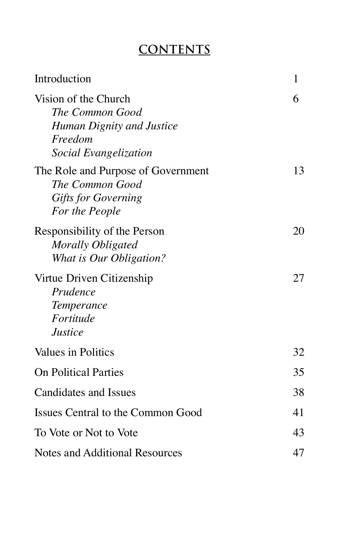## **CONTENTS**

| Introduction                                                                                                    | 1  |
|-----------------------------------------------------------------------------------------------------------------|----|
| Vision of the Church<br>The Common Good<br>Human Dignity and Justice<br>Freedom<br><b>Social Evangelization</b> | 6  |
| The Role and Purpose of Government<br>The Common Good<br><b>Gifts for Governing</b><br>For the People           | 13 |
| Responsibility of the Person<br>Morally Obligated<br>What is Our Obligation?                                    | 20 |
| Virtue Driven Citizenship<br>Prudence<br><i>Temperance</i><br>Fortitude<br><b>Justice</b>                       | 27 |
| Values in Politics                                                                                              | 32 |
| <b>On Political Parties</b>                                                                                     | 35 |
| <b>Candidates and Issues</b>                                                                                    | 38 |
| Issues Central to the Common Good                                                                               | 41 |
| To Vote or Not to Vote                                                                                          | 43 |
| Notes and Additional Resources                                                                                  | 47 |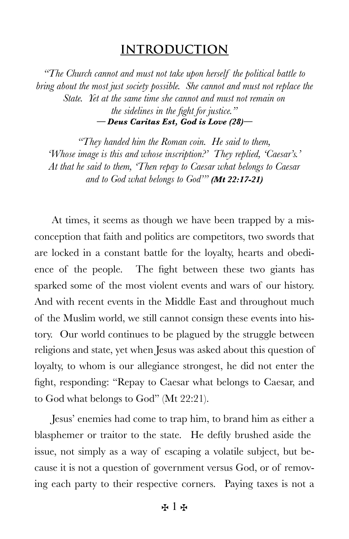## **INTRODUCTION**

*"The Church cannot and must not take upon herself the political battle to bring about the most just society possible. She cannot and must not replace the State. Yet at the same time she cannot and must not remain on the sidelines in the fight for justice." — Deus Caritas Est, God is Love (28)—*

*"They handed him the Roman coin. He said to them, 'Whose image is this and whose inscription?' They replied, 'Caesar's.' At that he said to them, 'Then repay to Caesar what belongs to Caesar and to God what belongs to God'" (Mt 22:17-21)*

At times, it seems as though we have been trapped by a misconception that faith and politics are competitors, two swords that are locked in a constant battle for the loyalty, hearts and obedience of the people. The fight between these two giants has sparked some of the most violent events and wars of our history. And with recent events in the Middle East and throughout much of the Muslim world, we still cannot consign these events into history. Our world continues to be plagued by the struggle between religions and state, yet when Jesus was asked about this question of loyalty, to whom is our allegiance strongest, he did not enter the fight, responding: "Repay to Caesar what belongs to Caesar, and to God what belongs to God" (Mt 22:21).

Jesus' enemies had come to trap him, to brand him as either a blasphemer or traitor to the state. He deftly brushed aside the issue, not simply as a way of escaping a volatile subject, but because it is not a question of government versus God, or of removing each party to their respective corners. Paying taxes is not a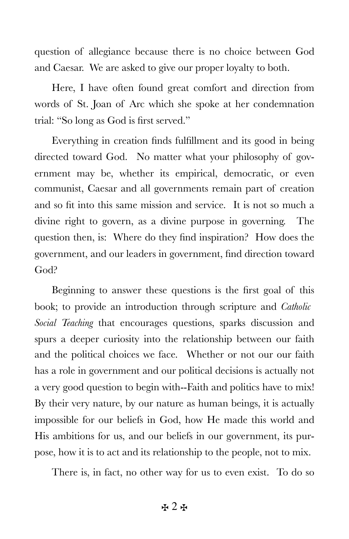question of allegiance because there is no choice between God and Caesar. We are asked to give our proper loyalty to both.

Here, I have often found great comfort and direction from words of St. Joan of Arc which she spoke at her condemnation trial: "So long as God is first served."

Everything in creation finds fulfillment and its good in being directed toward God. No matter what your philosophy of government may be, whether its empirical, democratic, or even communist, Caesar and all governments remain part of creation and so fit into this same mission and service. It is not so much a divine right to govern, as a divine purpose in governing. The question then, is: Where do they find inspiration? How does the government, and our leaders in government, find direction toward God?

Beginning to answer these questions is the first goal of this book; to provide an introduction through scripture and *Catholic Social Teaching* that encourages questions, sparks discussion and spurs a deeper curiosity into the relationship between our faith and the political choices we face. Whether or not our our faith has a role in government and our political decisions is actually not a very good question to begin with--Faith and politics have to mix! By their very nature, by our nature as human beings, it is actually impossible for our beliefs in God, how He made this world and His ambitions for us, and our beliefs in our government, its purpose, how it is to act and its relationship to the people, not to mix.

There is, in fact, no other way for us to even exist. To do so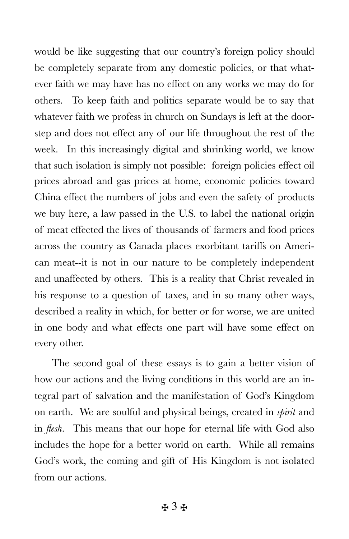would be like suggesting that our country's foreign policy should be completely separate from any domestic policies, or that whatever faith we may have has no effect on any works we may do for others. To keep faith and politics separate would be to say that whatever faith we profess in church on Sundays is left at the doorstep and does not effect any of our life throughout the rest of the week. In this increasingly digital and shrinking world, we know that such isolation is simply not possible: foreign policies effect oil prices abroad and gas prices at home, economic policies toward China effect the numbers of jobs and even the safety of products we buy here, a law passed in the U.S. to label the national origin of meat effected the lives of thousands of farmers and food prices across the country as Canada places exorbitant tariffs on American meat--it is not in our nature to be completely independent and unaffected by others. This is a reality that Christ revealed in his response to a question of taxes, and in so many other ways, described a reality in which, for better or for worse, we are united in one body and what effects one part will have some effect on every other.

The second goal of these essays is to gain a better vision of how our actions and the living conditions in this world are an integral part of salvation and the manifestation of God's Kingdom on earth. We are soulful and physical beings, created in *spirit* and in *flesh*. This means that our hope for eternal life with God also includes the hope for a better world on earth. While all remains God's work, the coming and gift of His Kingdom is not isolated from our actions.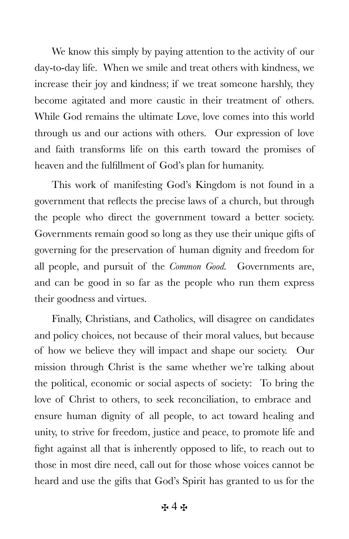We know this simply by paying attention to the activity of our day-to-day life. When we smile and treat others with kindness, we increase their joy and kindness; if we treat someone harshly, they become agitated and more caustic in their treatment of others. While God remains the ultimate Love, love comes into this world through us and our actions with others. Our expression of love and faith transforms life on this earth toward the promises of heaven and the fulfillment of God's plan for humanity.

This work of manifesting God's Kingdom is not found in a government that reflects the precise laws of a church, but through the people who direct the government toward a better society. Governments remain good so long as they use their unique gifts of governing for the preservation of human dignity and freedom for all people, and pursuit of the *Common Good.* Governments are, and can be good in so far as the people who run them express their goodness and virtues.

Finally, Christians, and Catholics, will disagree on candidates and policy choices, not because of their moral values, but because of how we believe they will impact and shape our society. Our mission through Christ is the same whether we're talking about the political, economic or social aspects of society: To bring the love of Christ to others, to seek reconciliation, to embrace and ensure human dignity of all people, to act toward healing and unity, to strive for freedom, justice and peace, to promote life and fight against all that is inherently opposed to life, to reach out to those in most dire need, call out for those whose voices cannot be heard and use the gifts that God's Spirit has granted to us for the